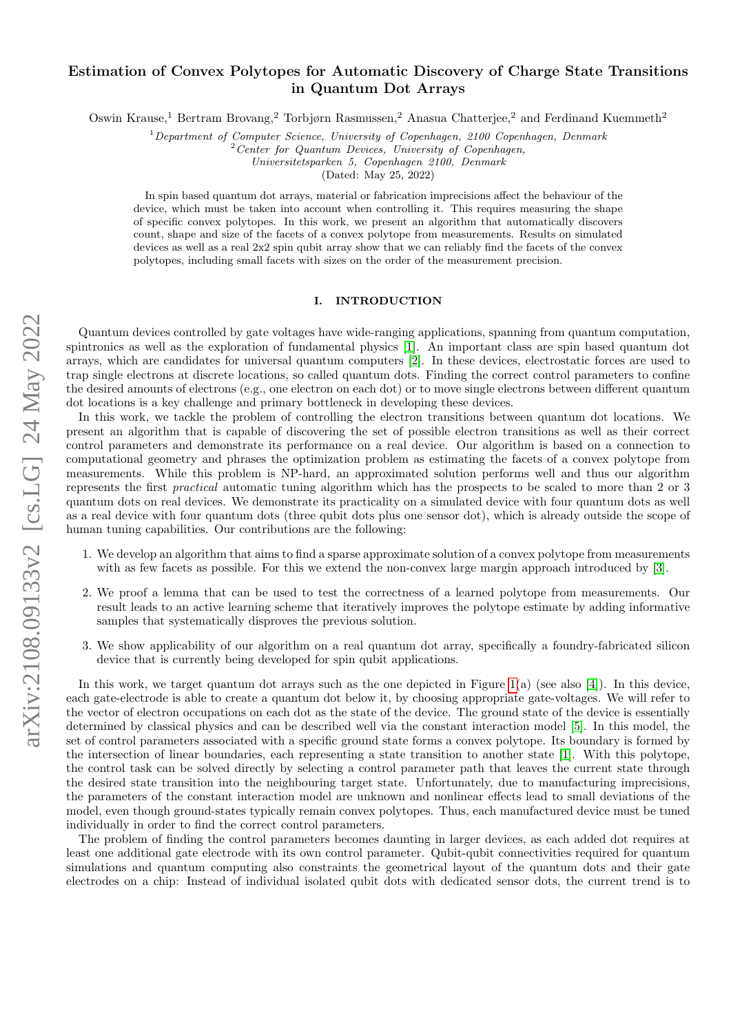# arXiv:2108.09133v2 [cs.LG] 24 May 2022 arXiv:2108.09133v2 [cs.LG] 24 May 2022

# Estimation of Convex Polytopes for Automatic Discovery of Charge State Transitions in Quantum Dot Arrays

Oswin Krause,<sup>1</sup> Bertram Brovang,<sup>2</sup> Torbjørn Rasmussen,<sup>2</sup> Anasua Chatterjee,<sup>2</sup> and Ferdinand Kuemmeth<sup>2</sup>

 $1$ Department of Computer Science, University of Copenhagen, 2100 Copenhagen, Denmark

 $2$  Center for Quantum Devices, University of Copenhagen,

Universitetsparken 5, Copenhagen 2100, Denmark

(Dated: May 25, 2022)

In spin based quantum dot arrays, material or fabrication imprecisions affect the behaviour of the device, which must be taken into account when controlling it. This requires measuring the shape of specific convex polytopes. In this work, we present an algorithm that automatically discovers count, shape and size of the facets of a convex polytope from measurements. Results on simulated devices as well as a real  $2x^2$  spin qubit array show that we can reliably find the facets of the convex polytopes, including small facets with sizes on the order of the measurement precision.

# I. INTRODUCTION

Quantum devices controlled by gate voltages have wide-ranging applications, spanning from quantum computation, spintronics as well as the exploration of fundamental physics [\[1\]](#page-10-0). An important class are spin based quantum dot arrays, which are candidates for universal quantum computers [\[2\]](#page-10-1). In these devices, electrostatic forces are used to trap single electrons at discrete locations, so called quantum dots. Finding the correct control parameters to confine the desired amounts of electrons (e.g., one electron on each dot) or to move single electrons between different quantum dot locations is a key challenge and primary bottleneck in developing these devices.

In this work, we tackle the problem of controlling the electron transitions between quantum dot locations. We present an algorithm that is capable of discovering the set of possible electron transitions as well as their correct control parameters and demonstrate its performance on a real device. Our algorithm is based on a connection to computational geometry and phrases the optimization problem as estimating the facets of a convex polytope from measurements. While this problem is NP-hard, an approximated solution performs well and thus our algorithm represents the first practical automatic tuning algorithm which has the prospects to be scaled to more than 2 or 3 quantum dots on real devices. We demonstrate its practicality on a simulated device with four quantum dots as well as a real device with four quantum dots (three qubit dots plus one sensor dot), which is already outside the scope of human tuning capabilities. Our contributions are the following:

- 1. We develop an algorithm that aims to find a sparse approximate solution of a convex polytope from measurements with as few facets as possible. For this we extend the non-convex large margin approach introduced by [\[3\]](#page-10-2).
- 2. We proof a lemma that can be used to test the correctness of a learned polytope from measurements. Our result leads to an active learning scheme that iteratively improves the polytope estimate by adding informative samples that systematically disproves the previous solution.
- 3. We show applicability of our algorithm on a real quantum dot array, specifically a foundry-fabricated silicon device that is currently being developed for spin qubit applications.

In this work, we target quantum dot arrays such as the one depicted in Figure [1\(](#page-1-0)a) (see also [\[4\]](#page-10-3)). In this device, each gate-electrode is able to create a quantum dot below it, by choosing appropriate gate-voltages. We will refer to the vector of electron occupations on each dot as the state of the device. The ground state of the device is essentially determined by classical physics and can be described well via the constant interaction model [\[5\]](#page-11-0). In this model, the set of control parameters associated with a specific ground state forms a convex polytope. Its boundary is formed by the intersection of linear boundaries, each representing a state transition to another state [\[1\]](#page-10-0). With this polytope, the control task can be solved directly by selecting a control parameter path that leaves the current state through the desired state transition into the neighbouring target state. Unfortunately, due to manufacturing imprecisions, the parameters of the constant interaction model are unknown and nonlinear effects lead to small deviations of the model, even though ground-states typically remain convex polytopes. Thus, each manufactured device must be tuned individually in order to find the correct control parameters.

The problem of finding the control parameters becomes daunting in larger devices, as each added dot requires at least one additional gate electrode with its own control parameter. Qubit-qubit connectivities required for quantum simulations and quantum computing also constraints the geometrical layout of the quantum dots and their gate electrodes on a chip: Instead of individual isolated qubit dots with dedicated sensor dots, the current trend is to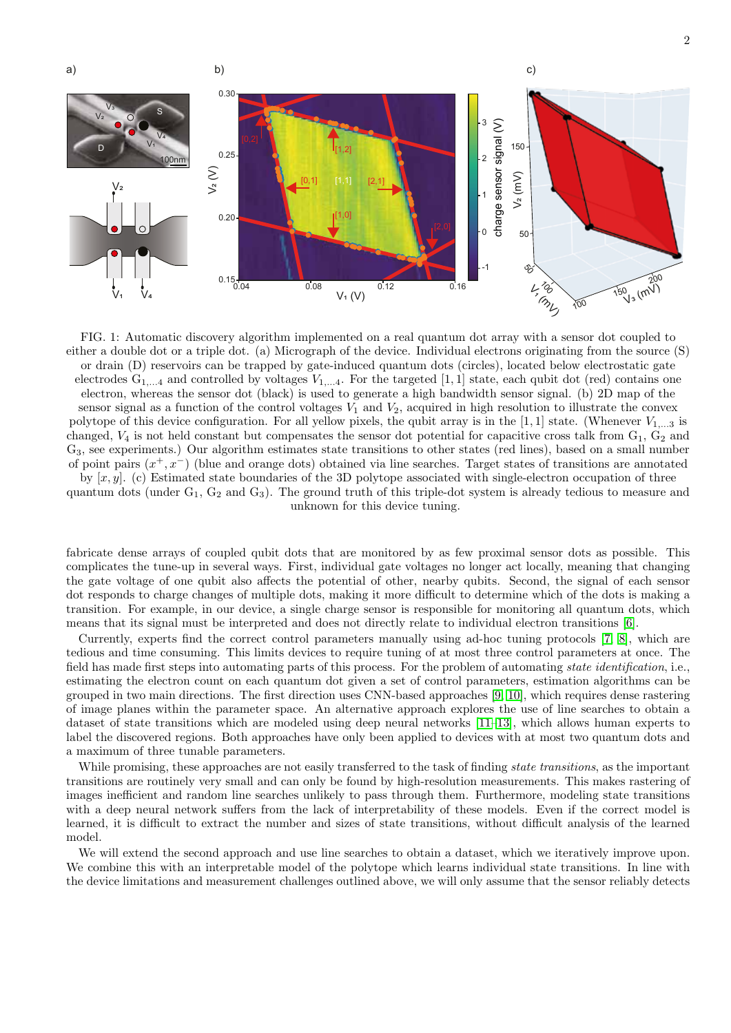<span id="page-1-0"></span>

FIG. 1: Automatic discovery algorithm implemented on a real quantum dot array with a sensor dot coupled to either a double dot or a triple dot. (a) Micrograph of the device. Individual electrons originating from the source (S) or drain (D) reservoirs can be trapped by gate-induced quantum dots (circles), located below electrostatic gate electrodes  $G_{1,...4}$  and controlled by voltages  $V_{1,...4}$ . For the targeted [1, 1] state, each qubit dot (red) contains one electron, whereas the sensor dot (black) is used to generate a high bandwidth sensor signal. (b) 2D map of the sensor signal as a function of the control voltages  $V_1$  and  $V_2$ , acquired in high resolution to illustrate the convex polytope of this device configuration. For all yellow pixels, the qubit array is in the [1, 1] state. (Whenever  $V_{1,\dots,3}$  is changed,  $V_4$  is not held constant but compensates the sensor dot potential for capacitive cross talk from  $G_1$ ,  $G_2$  and G3, see experiments.) Our algorithm estimates state transitions to other states (red lines), based on a small number of point pairs  $(x^+, x^-)$  (blue and orange dots) obtained via line searches. Target states of transitions are annotated by  $[x, y]$ . (c) Estimated state boundaries of the 3D polytope associated with single-electron occupation of three quantum dots (under  $G_1$ ,  $G_2$  and  $G_3$ ). The ground truth of this triple-dot system is already tedious to measure and unknown for this device tuning.

fabricate dense arrays of coupled qubit dots that are monitored by as few proximal sensor dots as possible. This complicates the tune-up in several ways. First, individual gate voltages no longer act locally, meaning that changing the gate voltage of one qubit also affects the potential of other, nearby qubits. Second, the signal of each sensor dot responds to charge changes of multiple dots, making it more difficult to determine which of the dots is making a transition. For example, in our device, a single charge sensor is responsible for monitoring all quantum dots, which means that its signal must be interpreted and does not directly relate to individual electron transitions [\[6\]](#page-11-1).

Currently, experts find the correct control parameters manually using ad-hoc tuning protocols [\[7,](#page-11-2) [8\]](#page-11-3), which are tedious and time consuming. This limits devices to require tuning of at most three control parameters at once. The field has made first steps into automating parts of this process. For the problem of automating state identification, i.e., estimating the electron count on each quantum dot given a set of control parameters, estimation algorithms can be grouped in two main directions. The first direction uses CNN-based approaches [\[9,](#page-11-4) [10\]](#page-11-5), which requires dense rastering of image planes within the parameter space. An alternative approach explores the use of line searches to obtain a dataset of state transitions which are modeled using deep neural networks [\[11–](#page-11-6)[13\]](#page-11-7), which allows human experts to label the discovered regions. Both approaches have only been applied to devices with at most two quantum dots and a maximum of three tunable parameters.

While promising, these approaches are not easily transferred to the task of finding *state transitions*, as the important transitions are routinely very small and can only be found by high-resolution measurements. This makes rastering of images inefficient and random line searches unlikely to pass through them. Furthermore, modeling state transitions with a deep neural network suffers from the lack of interpretability of these models. Even if the correct model is learned, it is difficult to extract the number and sizes of state transitions, without difficult analysis of the learned model.

We will extend the second approach and use line searches to obtain a dataset, which we iteratively improve upon. We combine this with an interpretable model of the polytope which learns individual state transitions. In line with the device limitations and measurement challenges outlined above, we will only assume that the sensor reliably detects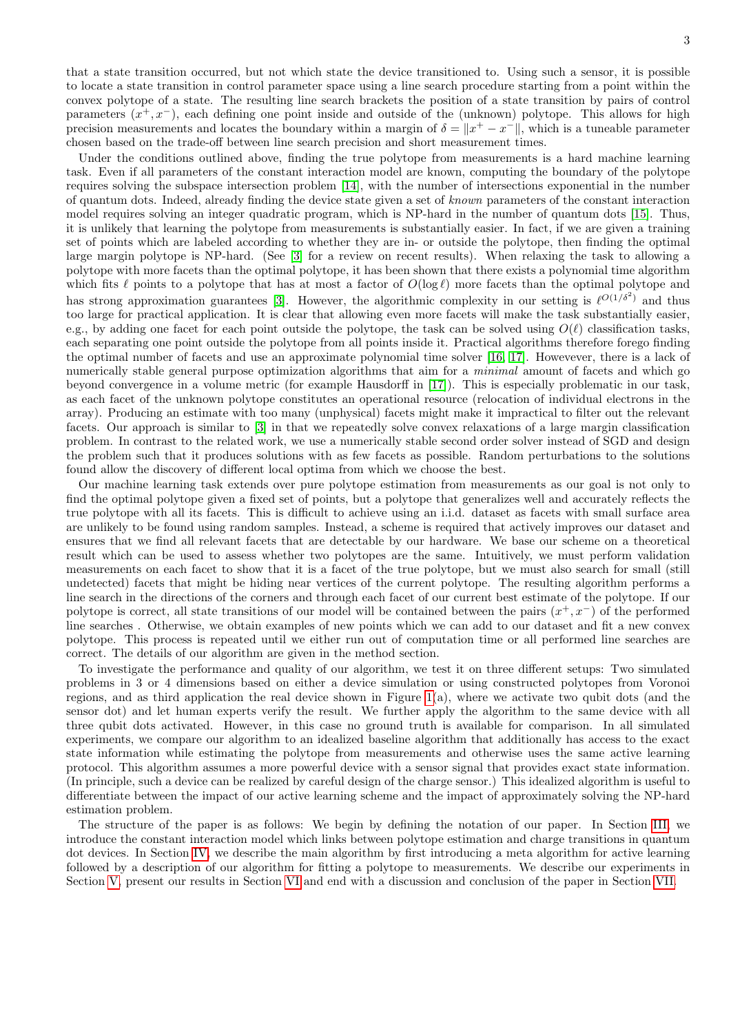that a state transition occurred, but not which state the device transitioned to. Using such a sensor, it is possible to locate a state transition in control parameter space using a line search procedure starting from a point within the convex polytope of a state. The resulting line search brackets the position of a state transition by pairs of control parameters  $(x^+, x^-)$ , each defining one point inside and outside of the (unknown) polytope. This allows for high precision measurements and locates the boundary within a margin of  $\delta = ||x^+ - x^-||$ , which is a tuneable parameter chosen based on the trade-off between line search precision and short measurement times.

Under the conditions outlined above, finding the true polytope from measurements is a hard machine learning task. Even if all parameters of the constant interaction model are known, computing the boundary of the polytope requires solving the subspace intersection problem [\[14\]](#page-11-8), with the number of intersections exponential in the number of quantum dots. Indeed, already finding the device state given a set of known parameters of the constant interaction model requires solving an integer quadratic program, which is NP-hard in the number of quantum dots [\[15\]](#page-11-9). Thus, it is unlikely that learning the polytope from measurements is substantially easier. In fact, if we are given a training set of points which are labeled according to whether they are in- or outside the polytope, then finding the optimal large margin polytope is NP-hard. (See [\[3\]](#page-10-2) for a review on recent results). When relaxing the task to allowing a polytope with more facets than the optimal polytope, it has been shown that there exists a polynomial time algorithm which fits  $\ell$  points to a polytope that has at most a factor of  $O(\log \ell)$  more facets than the optimal polytope and has strong approximation guarantees [\[3\]](#page-10-2). However, the algorithmic complexity in our setting is  $\ell^{O(1/\delta^2)}$  and thus too large for practical application. It is clear that allowing even more facets will make the task substantially easier, e.g., by adding one facet for each point outside the polytope, the task can be solved using  $O(\ell)$  classification tasks, each separating one point outside the polytope from all points inside it. Practical algorithms therefore forego finding the optimal number of facets and use an approximate polynomial time solver [\[16,](#page-11-10) [17\]](#page-11-11). Howevever, there is a lack of numerically stable general purpose optimization algorithms that aim for a *minimal* amount of facets and which go beyond convergence in a volume metric (for example Hausdorff in [\[17\]](#page-11-11)). This is especially problematic in our task, as each facet of the unknown polytope constitutes an operational resource (relocation of individual electrons in the array). Producing an estimate with too many (unphysical) facets might make it impractical to filter out the relevant facets. Our approach is similar to [\[3\]](#page-10-2) in that we repeatedly solve convex relaxations of a large margin classification problem. In contrast to the related work, we use a numerically stable second order solver instead of SGD and design the problem such that it produces solutions with as few facets as possible. Random perturbations to the solutions found allow the discovery of different local optima from which we choose the best.

Our machine learning task extends over pure polytope estimation from measurements as our goal is not only to find the optimal polytope given a fixed set of points, but a polytope that generalizes well and accurately reflects the true polytope with all its facets. This is difficult to achieve using an i.i.d. dataset as facets with small surface area are unlikely to be found using random samples. Instead, a scheme is required that actively improves our dataset and ensures that we find all relevant facets that are detectable by our hardware. We base our scheme on a theoretical result which can be used to assess whether two polytopes are the same. Intuitively, we must perform validation measurements on each facet to show that it is a facet of the true polytope, but we must also search for small (still undetected) facets that might be hiding near vertices of the current polytope. The resulting algorithm performs a line search in the directions of the corners and through each facet of our current best estimate of the polytope. If our polytope is correct, all state transitions of our model will be contained between the pairs  $(x^+, x^-)$  of the performed line searches . Otherwise, we obtain examples of new points which we can add to our dataset and fit a new convex polytope. This process is repeated until we either run out of computation time or all performed line searches are correct. The details of our algorithm are given in the method section.

To investigate the performance and quality of our algorithm, we test it on three different setups: Two simulated problems in 3 or 4 dimensions based on either a device simulation or using constructed polytopes from Voronoi regions, and as third application the real device shown in Figure [1\(](#page-1-0)a), where we activate two qubit dots (and the sensor dot) and let human experts verify the result. We further apply the algorithm to the same device with all three qubit dots activated. However, in this case no ground truth is available for comparison. In all simulated experiments, we compare our algorithm to an idealized baseline algorithm that additionally has access to the exact state information while estimating the polytope from measurements and otherwise uses the same active learning protocol. This algorithm assumes a more powerful device with a sensor signal that provides exact state information. (In principle, such a device can be realized by careful design of the charge sensor.) This idealized algorithm is useful to differentiate between the impact of our active learning scheme and the impact of approximately solving the NP-hard estimation problem.

The structure of the paper is as follows: We begin by defining the notation of our paper. In Section [III,](#page-3-0) we introduce the constant interaction model which links between polytope estimation and charge transitions in quantum dot devices. In Section [IV,](#page-3-1) we describe the main algorithm by first introducing a meta algorithm for active learning followed by a description of our algorithm for fitting a polytope to measurements. We describe our experiments in Section [V,](#page-6-0) present our results in Section [VI](#page-7-0) and end with a discussion and conclusion of the paper in Section [VII.](#page-9-0)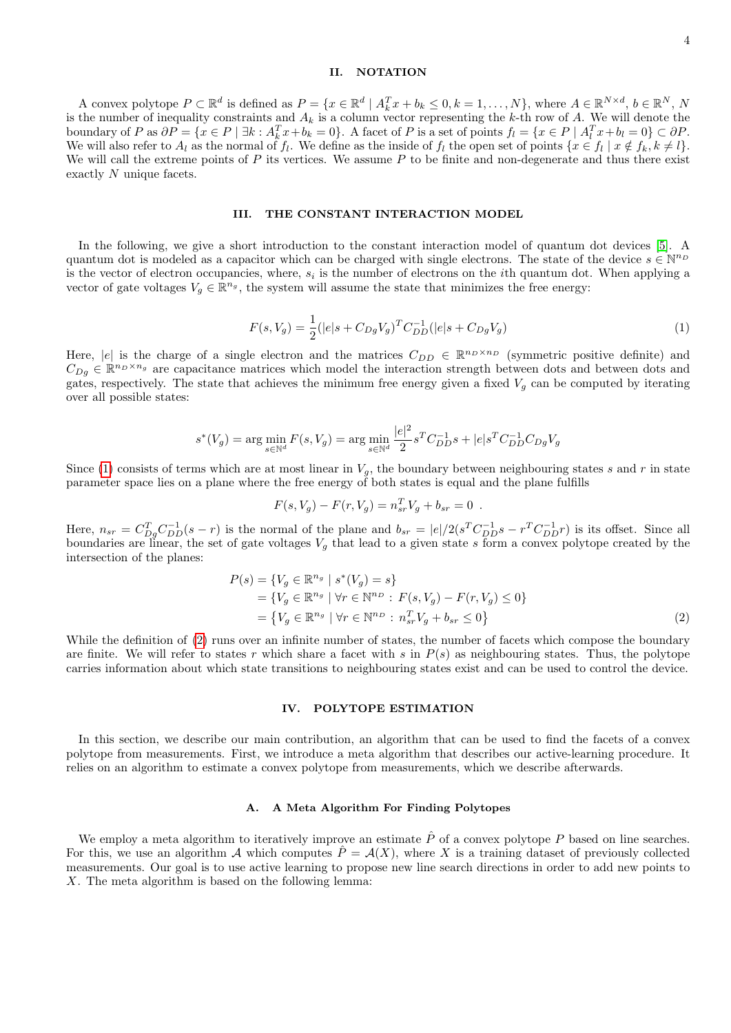# II. NOTATION

A convex polytope  $P \subset \mathbb{R}^d$  is defined as  $P = \{x \in \mathbb{R}^d \mid A_k^T x + b_k \leq 0, k = 1, ..., N\}$ , where  $A \in \mathbb{R}^{N \times d}$ ,  $b \in \mathbb{R}^N$ ,  $N$ is the number of inequality constraints and  $A_k$  is a column vector representing the k-th row of A. We will denote the boundary of P as  $\partial P = \{x \in P \mid \exists k : A_k^T x + b_k = 0\}$ . A facet of P is a set of points  $f_l = \{x \in P \mid A_l^T x + b_l = 0\} \subset \partial P$ . We will also refer to  $A_l$  as the normal of  $f_l$ . We define as the inside of  $f_l$  the open set of points  $\{x \in f_l | x \notin f_k, k \neq l\}$ . We will call the extreme points of  $P$  its vertices. We assume  $P$  to be finite and non-degenerate and thus there exist exactly N unique facets.

### <span id="page-3-0"></span>III. THE CONSTANT INTERACTION MODEL

In the following, we give a short introduction to the constant interaction model of quantum dot devices [\[5\]](#page-11-0). A quantum dot is modeled as a capacitor which can be charged with single electrons. The state of the device  $s \in \mathbb{N}^{n_D}$ is the vector of electron occupancies, where,  $s_i$  is the number of electrons on the *i*th quantum dot. When applying a vector of gate voltages  $V_g \in \mathbb{R}^{n_g}$ , the system will assume the state that minimizes the free energy:

<span id="page-3-2"></span>
$$
F(s, V_g) = \frac{1}{2} (|e|s + C_{Dg} V_g)^T C_{DD}^{-1} (|e|s + C_{Dg} V_g)
$$
\n(1)

Here, |e| is the charge of a single electron and the matrices  $C_{DD} \in \mathbb{R}^{n_D \times n_D}$  (symmetric positive definite) and  $C_{Dg} \in \mathbb{R}^{n_D \times n_g}$  are capacitance matrices which model the interaction strength between dots and between dots and gates, respectively. The state that achieves the minimum free energy given a fixed  $V_q$  can be computed by iterating over all possible states:

$$
s^*(V_g) = \arg\min_{s \in \mathbb{N}^d} F(s, V_g) = \arg\min_{s \in \mathbb{N}^d} \frac{|e|^2}{2} s^T C_{DD}^{-1} s + |e| s^T C_{DD}^{-1} C_{Dg} V_g
$$

Since [\(1\)](#page-3-2) consists of terms which are at most linear in  $V_g$ , the boundary between neighbouring states s and r in state parameter space lies on a plane where the free energy of both states is equal and the plane fulfills

$$
F(s, V_g) - F(r, V_g) = n_{sr}^T V_g + b_{sr} = 0.
$$

Here,  $n_{sr} = C_{Dg}^T C_{DD}^{-1}(s - r)$  is the normal of the plane and  $b_{sr} = |e|/2(s^T C_{DD}^{-1} s - r^T C_{DD}^{-1} r)$  is its offset. Since all boundaries are linear, the set of gate voltages  $V_g$  that lead to a given state s form a convex polytope created by the intersection of the planes:

$$
P(s) = \{V_g \in \mathbb{R}^{n_g} \mid s^*(V_g) = s\}
$$
  
=  $\{V_g \in \mathbb{R}^{n_g} \mid \forall r \in \mathbb{N}^{n_D} : F(s, V_g) - F(r, V_g) \le 0\}$   
=  $\{V_g \in \mathbb{R}^{n_g} \mid \forall r \in \mathbb{N}^{n_D} : n_{sr}^T V_g + b_{sr} \le 0\}$  (2)

While the definition of [\(2\)](#page-3-3) runs over an infinite number of states, the number of facets which compose the boundary are finite. We will refer to states r which share a facet with s in  $P(s)$  as neighbouring states. Thus, the polytope carries information about which state transitions to neighbouring states exist and can be used to control the device.

### <span id="page-3-3"></span><span id="page-3-1"></span>IV. POLYTOPE ESTIMATION

In this section, we describe our main contribution, an algorithm that can be used to find the facets of a convex polytope from measurements. First, we introduce a meta algorithm that describes our active-learning procedure. It relies on an algorithm to estimate a convex polytope from measurements, which we describe afterwards.

### A. A Meta Algorithm For Finding Polytopes

We employ a meta algorithm to iteratively improve an estimate  $\hat{P}$  of a convex polytope P based on line searches. For this, we use an algorithm A which computes  $\hat{P} = \mathcal{A}(X)$ , where X is a training dataset of previously collected measurements. Our goal is to use active learning to propose new line search directions in order to add new points to X. The meta algorithm is based on the following lemma: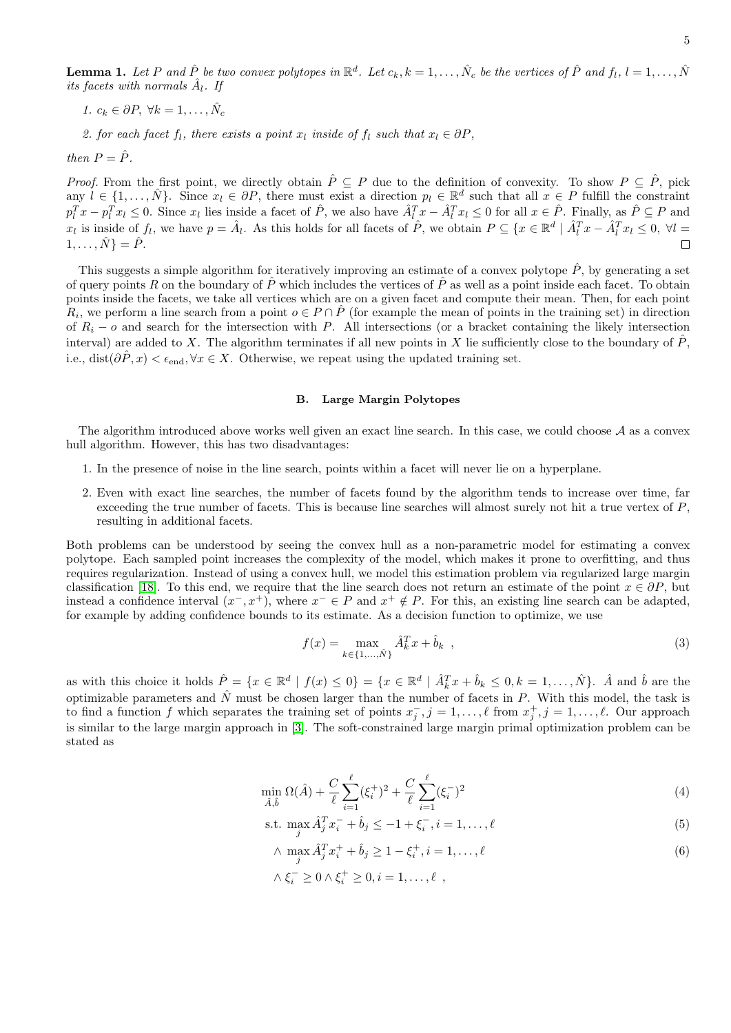**Lemma 1.** Let P and  $\hat{P}$  be two convex polytopes in  $\mathbb{R}^d$ . Let  $c_k, k = 1, \ldots, \hat{N}_c$  be the vertices of  $\hat{P}$  and  $f_l, l = 1, \ldots, \hat{N}_c$ its facets with normals  $\hat{A}_l$ . If

1.  $c_k \in \partial P$ ,  $\forall k = 1, \ldots, \hat{N}_c$ 

2. for each facet f<sub>l</sub>, there exists a point  $x_l$  inside of f<sub>l</sub> such that  $x_l \in \partial P$ ,

then  $P = \hat{P}$ .

*Proof.* From the first point, we directly obtain  $\hat{P} \subseteq P$  due to the definition of convexity. To show  $P \subseteq \hat{P}$ , pick any  $l \in \{1,\ldots,\hat{N}\}\.$  Since  $x_l \in \partial P$ , there must exist a direction  $p_l \in \mathbb{R}^d$  such that all  $x \in P$  fulfill the constraint  $p_l^T x - p_l^T x_l \leq 0$ . Since  $x_l$  lies inside a facet of  $\hat{P}$ , we also have  $\hat{A}_l^T x - \hat{A}_l^T x_l \leq 0$  for all  $x \in \hat{P}$ . Finally, as  $\hat{P} \subseteq P$  and  $x_l$  is inside of  $f_l$ , we have  $p = \hat{A}_l$ . As this holds for all facets of  $\hat{P}$ , we obtain  $P \subseteq \{x \in \mathbb{R}^d \mid \hat{A}_l^T x - \hat{A}_l^T x_l \leq 0, \forall l =$  $1, \ldots, \hat{N}$ } =  $\hat{P}$ .  $\Box$ 

This suggests a simple algorithm for iteratively improving an estimate of a convex polytope  $\hat{P}$ , by generating a set of query points R on the boundary of  $\hat{P}$  which includes the vertices of  $\hat{P}$  as well as a point inside each facet. To obtain points inside the facets, we take all vertices which are on a given facet and compute their mean. Then, for each point  $R_i$ , we perform a line search from a point  $o \in P \cap \hat{P}$  (for example the mean of points in the training set) in direction of  $R_i - o$  and search for the intersection with P. All intersections (or a bracket containing the likely intersection interval) are added to X. The algorithm terminates if all new points in X lie sufficiently close to the boundary of  $\hat{P}$ , i.e., dist( $\partial \hat{P}, x$ ) <  $\epsilon_{end}$ ,  $\forall x \in X$ . Otherwise, we repeat using the updated training set.

# B. Large Margin Polytopes

The algorithm introduced above works well given an exact line search. In this case, we could choose  $A$  as a convex hull algorithm. However, this has two disadvantages:

- 1. In the presence of noise in the line search, points within a facet will never lie on a hyperplane.
- 2. Even with exact line searches, the number of facets found by the algorithm tends to increase over time, far exceeding the true number of facets. This is because line searches will almost surely not hit a true vertex of P, resulting in additional facets.

Both problems can be understood by seeing the convex hull as a non-parametric model for estimating a convex polytope. Each sampled point increases the complexity of the model, which makes it prone to overfitting, and thus requires regularization. Instead of using a convex hull, we model this estimation problem via regularized large margin classification [\[18\]](#page-11-12). To this end, we require that the line search does not return an estimate of the point  $x \in \partial P$ , but instead a confidence interval  $(x^-, x^+)$ , where  $x^- \in P$  and  $x^+ \notin P$ . For this, an existing line search can be adapted, for example by adding confidence bounds to its estimate. As a decision function to optimize, we use

$$
f(x) = \max_{k \in \{1, ..., \hat{N}\}} \hat{A}_k^T x + \hat{b}_k ,
$$
 (3)

as with this choice it holds  $\hat{P} = \{x \in \mathbb{R}^d \mid f(x) \leq 0\} = \{x \in \mathbb{R}^d \mid \hat{A}_k^T x + \hat{b}_k \leq 0, k = 1, ..., \hat{N}\}\.$  A and  $\hat{b}$  are the optimizable parameters and  $\hat{N}$  must be chosen larger than the number of facets in P. With this model, the task is to find a function f which separates the training set of points  $x_j^-, j = 1, \ldots, \ell$  from  $x_j^+, j = 1, \ldots, \ell$ . Our approach is similar to the large margin approach in [\[3\]](#page-10-2). The soft-constrained large margin primal optimization problem can be stated as

$$
\min_{\hat{A},\hat{b}} \Omega(\hat{A}) + \frac{C}{\ell} \sum_{i=1}^{\ell} (\xi_i^+)^2 + \frac{C}{\ell} \sum_{i=1}^{\ell} (\xi_i^-)^2 \tag{4}
$$

s.t. 
$$
\max_{j} \hat{A}_{j}^{T} x_{i}^{-} + \hat{b}_{j} \le -1 + \xi_{i}^{-}, i = 1, ..., \ell
$$
 (5)

<span id="page-4-1"></span><span id="page-4-0"></span>
$$
\wedge \max_{j} \hat{A}_{j}^{T} x_{i}^{+} + \hat{b}_{j} \ge 1 - \xi_{i}^{+}, i = 1, \dots, \ell
$$
  

$$
\wedge \xi_{i}^{-} \ge 0 \wedge \xi_{i}^{+} \ge 0, i = 1, \dots, \ell , \qquad (6)
$$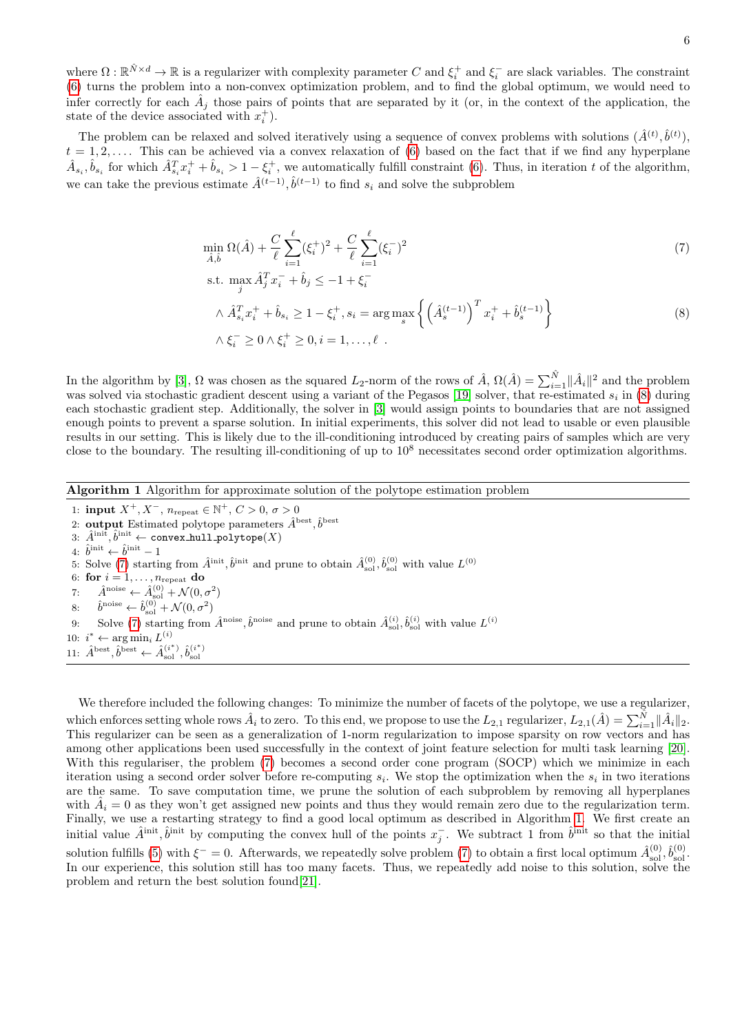where  $\Omega : \mathbb{R}^{\hat{N} \times d} \to \mathbb{R}$  is a regularizer with complexity parameter C and  $\xi_i^+$  and  $\xi_i^-$  are slack variables. The constraint [\(6\)](#page-4-0) turns the problem into a non-convex optimization problem, and to find the global optimum, we would need to infer correctly for each  $\hat{A}_j$  those pairs of points that are separated by it (or, in the context of the application, the state of the device associated with  $x_i^+$ ).

The problem can be relaxed and solved iteratively using a sequence of convex problems with solutions  $(\hat{A}^{(t)}, \hat{b}^{(t)})$ ,  $t = 1, 2, \ldots$ . This can be achieved via a convex relaxation of [\(6\)](#page-4-0) based on the fact that if we find any hyperplane  $\hat{A}_{s_i}, \hat{b}_{s_i}$  for which  $\hat{A}_{s_i}^T x_i^+ + \hat{b}_{s_i} > 1 - \xi_i^+$ , we automatically fulfill constraint [\(6\)](#page-4-0). Thus, in iteration t of the algorithm, we can take the previous estimate  $\hat{A}^{(t-1)}$ ,  $\hat{b}^{(t-1)}$  to find  $s_i$  and solve the subproblem

$$
\min_{\hat{A},\hat{b}} \Omega(\hat{A}) + \frac{C}{\ell} \sum_{i=1}^{\ell} (\xi_i^+)^2 + \frac{C}{\ell} \sum_{i=1}^{\ell} (\xi_i^-)^2 \tag{7}
$$

<span id="page-5-1"></span><span id="page-5-0"></span>s.t. 
$$
\max_{j} \hat{A}_{j}^{T} x_{i}^{-} + \hat{b}_{j} \le -1 + \xi_{i}^{-}
$$
  
\n $\wedge \hat{A}_{s_{i}}^{T} x_{i}^{+} + \hat{b}_{s_{i}} \ge 1 - \xi_{i}^{+}, s_{i} = \arg \max_{s} \left\{ \left( \hat{A}_{s}^{(t-1)} \right)^{T} x_{i}^{+} + \hat{b}_{s}^{(t-1)} \right\}$   
\n $\wedge \xi_{i}^{-} \ge 0 \wedge \xi_{i}^{+} \ge 0, i = 1, ..., \ell$  (8)

In the algorithm by [\[3\]](#page-10-2),  $\Omega$  was chosen as the squared  $L_2$ -norm of the rows of  $\hat{A}$ ,  $\Omega(\hat{A}) = \sum_{i=1}^{\hat{N}} ||\hat{A}_i||^2$  and the problem was solved via stochastic gradient descent using a variant of the Pegasos [\[19\]](#page-11-13) solver, that re-estimated  $s_i$  in [\(8\)](#page-5-0) during each stochastic gradient step. Additionally, the solver in [\[3\]](#page-10-2) would assign points to boundaries that are not assigned enough points to prevent a sparse solution. In initial experiments, this solver did not lead to usable or even plausible results in our setting. This is likely due to the ill-conditioning introduced by creating pairs of samples which are very close to the boundary. The resulting ill-conditioning of up to  $10<sup>8</sup>$  necessitates second order optimization algorithms.

<span id="page-5-2"></span>Algorithm 1 Algorithm for approximate solution of the polytope estimation problem

1: input  $X^+, X^-, n_{\text{repeat}} \in \mathbb{N}^+, C > 0, \sigma > 0$ 2: **output** Estimated polytope parameters  $\hat{A}^{\text{best}}, \hat{b}^{\text{best}}$  $\mathrm{3:}~~\hat{A}^{\mathrm{init}}, \hat{b}^{\mathrm{init}} \leftarrow \texttt{convex_hull\_polytope}(X)$ 4:  $\hat{b}^{\text{init}} \leftarrow \hat{b}^{\text{init}} - 1$ 5: Solve [\(7\)](#page-5-1) starting from  $\hat{A}^{\text{init}}$ ,  $\hat{b}^{\text{init}}$  and prune to obtain  $\hat{A}^{(0)}_{sol}$ ,  $\hat{b}^{(0)}_{sol}$  with value  $L^{(0)}$ 6: for  $i = 1, \ldots, n_{\text{repeat}}$  do 7:  $\hat{A}^{\text{noise}} \leftarrow \hat{A}_{\text{sol}}^{(0)} + \mathcal{N}(0, \sigma^2)$ 8:  $\hat{b}^{\text{noise}} \leftarrow \hat{b}_{\text{sol}}^{(0)} + \mathcal{N}(0, \sigma^2)$ 9: Solve [\(7\)](#page-5-1) starting from  $\hat{A}^{\text{noise}}$ ,  $\hat{b}^{\text{noise}}$  and prune to obtain  $\hat{A}_{sol}^{(i)}$ ,  $\hat{b}_{sol}^{(i)}$  with value  $L^{(i)}$ 10:  $i^* \leftarrow \arg \min_i L^{(i)}$ 11:  $\hat{A}^{\text{best}}, \hat{b}^{\text{best}} \leftarrow \hat{A}_{\text{sol}}^{(i^*)}, \hat{b}_{\text{sol}}^{(i^*)}$ 

We therefore included the following changes: To minimize the number of facets of the polytope, we use a regularizer,

which enforces setting whole rows  $\hat{A}_i$  to zero. To this end, we propose to use the  $L_{2,1}$  regularizer,  $L_{2,1}(\hat{A}) = \sum_{i=1}^{\hat{N}} ||\hat{A}_i||_2$ . This regularizer can be seen as a generalization of 1-norm regularization to impose sparsity on row vectors and has among other applications been used successfully in the context of joint feature selection for multi task learning [\[20\]](#page-11-14). With this regulariser, the problem [\(7\)](#page-5-1) becomes a second order cone program (SOCP) which we minimize in each iteration using a second order solver before re-computing  $s_i$ . We stop the optimization when the  $s_i$  in two iterations are the same. To save computation time, we prune the solution of each subproblem by removing all hyperplanes with  $A_i = 0$  as they won't get assigned new points and thus they would remain zero due to the regularization term. Finally, we use a restarting strategy to find a good local optimum as described in Algorithm [1.](#page-5-2) We first create an initial value  $\hat{A}^{\text{init}}$ ,  $\hat{b}^{\text{init}}$  by computing the convex hull of the points  $x_j^-$ . We subtract 1 from  $\hat{b}^{\text{init}}$  so that the initial solution fulfills [\(5\)](#page-4-1) with  $\xi^- = 0$ . Afterwards, we repeatedly solve problem [\(7\)](#page-5-1) to obtain a first local optimum  $\hat{A}_{sol}^{(0)}$ ,  $\hat{b}_{sol}^{(0)}$ . In our experience, this solution still has too many facets. Thus, we repeatedly add noise to this solution, solve the problem and return the best solution found[\[21\]](#page-11-15).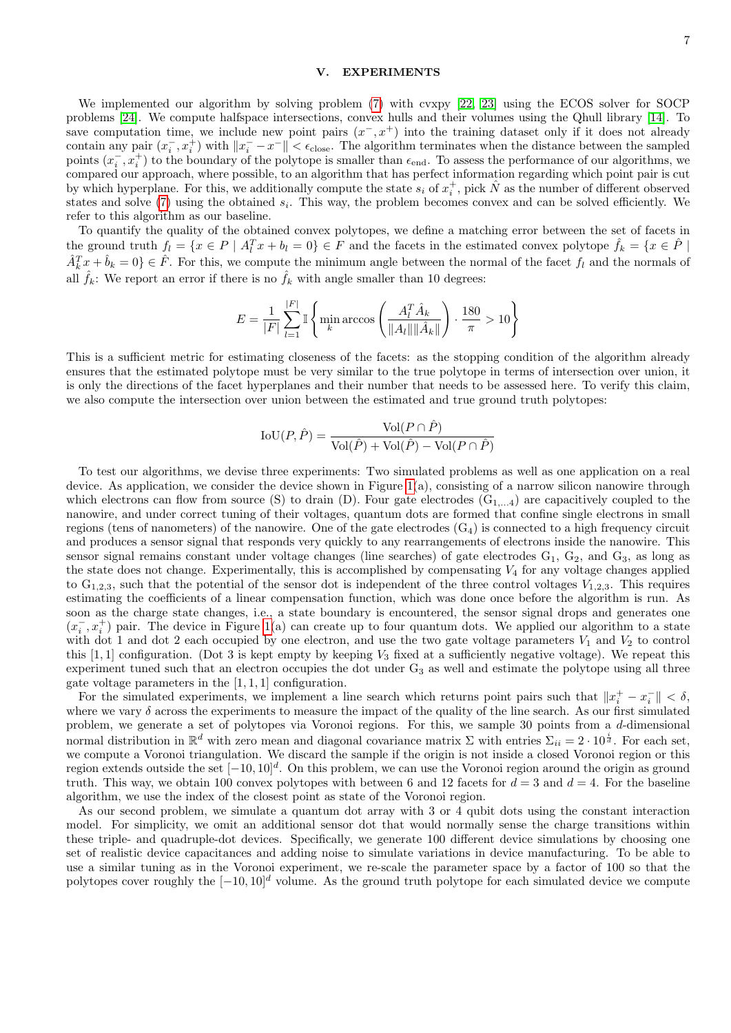# <span id="page-6-0"></span>**EXPERIMENTS**

We implemented our algorithm by solving problem [\(7\)](#page-5-1) with cvxpy [\[22,](#page-11-16) [23\]](#page-11-17) using the ECOS solver for SOCP problems [\[24\]](#page-11-18). We compute halfspace intersections, convex hulls and their volumes using the Qhull library [\[14\]](#page-11-8). To save computation time, we include new point pairs  $(x^-, x^+)$  into the training dataset only if it does not already contain any pair  $(x_i^-, x_i^+)$  with  $||x_i^- - x^-|| < \epsilon_{\text{close}}$ . The algorithm terminates when the distance between the sampled points  $(x_i^-, x_i^+)$  to the boundary of the polytope is smaller than  $\epsilon_{end}$ . To assess the performance of our algorithms, we compared our approach, where possible, to an algorithm that has perfect information regarding which point pair is cut by which hyperplane. For this, we additionally compute the state  $s_i$  of  $x_i^+$ , pick  $\hat{N}$  as the number of different observed states and solve  $(7)$  using the obtained  $s_i$ . This way, the problem becomes convex and can be solved efficiently. We refer to this algorithm as our baseline.

To quantify the quality of the obtained convex polytopes, we define a matching error between the set of facets in the ground truth  $f_l = \{x \in P \mid A_l^T x + b_l = 0\} \in F$  and the facets in the estimated convex polytope  $\hat{f}_k = \{x \in \hat{P} \mid A_l^T x + b_l = 0\}$  $\hat{A}_k^T x + \hat{b}_k = 0$   $\in \hat{F}$ . For this, we compute the minimum angle between the normal of the facet  $f_l$  and the normals of all  $\hat{f}_k$ : We report an error if there is no  $\hat{f}_k$  with angle smaller than 10 degrees:

$$
E = \frac{1}{|F|} \sum_{l=1}^{|F|} \mathbb{I} \left\{ \min_{k} \arccos \left( \frac{A_l^T \hat{A}_k}{\|A_l\| \|\hat{A}_k\|} \right) \cdot \frac{180}{\pi} > 10 \right\}
$$

This is a sufficient metric for estimating closeness of the facets: as the stopping condition of the algorithm already ensures that the estimated polytope must be very similar to the true polytope in terms of intersection over union, it is only the directions of the facet hyperplanes and their number that needs to be assessed here. To verify this claim, we also compute the intersection over union between the estimated and true ground truth polytopes:

$$
IoU(P, \hat{P}) = \frac{Vol(P \cap \hat{P})}{Vol(\hat{P}) + Vol(\hat{P}) - Vol(P \cap \hat{P})}
$$

To test our algorithms, we devise three experiments: Two simulated problems as well as one application on a real device. As application, we consider the device shown in Figure  $1(a)$ , consisting of a narrow silicon nanowire through which electrons can flow from source (S) to drain (D). Four gate electrodes  $(G_{1,...4})$  are capacitively coupled to the nanowire, and under correct tuning of their voltages, quantum dots are formed that confine single electrons in small regions (tens of nanometers) of the nanowire. One of the gate electrodes  $(G_4)$  is connected to a high frequency circuit and produces a sensor signal that responds very quickly to any rearrangements of electrons inside the nanowire. This sensor signal remains constant under voltage changes (line searches) of gate electrodes  $G_1$ ,  $G_2$ , and  $G_3$ , as long as the state does not change. Experimentally, this is accomplished by compensating  $V_4$  for any voltage changes applied to  $G_{1,2,3}$ , such that the potential of the sensor dot is independent of the three control voltages  $V_{1,2,3}$ . This requires estimating the coefficients of a linear compensation function, which was done once before the algorithm is run. As soon as the charge state changes, i.e., a state boundary is encountered, the sensor signal drops and generates one  $(x_i^-, x_i^+)$  pair. The device in Figure [1\(](#page-1-0)a) can create up to four quantum dots. We applied our algorithm to a state with dot 1 and dot 2 each occupied by one electron, and use the two gate voltage parameters  $V_1$  and  $V_2$  to control this  $[1, 1]$  configuration. (Dot 3 is kept empty by keeping  $V_3$  fixed at a sufficiently negative voltage). We repeat this experiment tuned such that an electron occupies the dot under  $G_3$  as well and estimate the polytope using all three gate voltage parameters in the  $[1, 1, 1]$  configuration.

For the simulated experiments, we implement a line search which returns point pairs such that  $||x_i^+ - x_i^-|| < \delta$ , where we vary  $\delta$  across the experiments to measure the impact of the quality of the line search. As our first simulated problem, we generate a set of polytopes via Voronoi regions. For this, we sample 30 points from a d-dimensional normal distribution in  $\mathbb{R}^d$  with zero mean and diagonal covariance matrix  $\Sigma$  with entries  $\Sigma_{ii} = 2 \cdot 10^{\frac{i}{d}}$ . For each set, we compute a Voronoi triangulation. We discard the sample if the origin is not inside a closed Voronoi region or this region extends outside the set  $[-10, 10]^d$ . On this problem, we can use the Voronoi region around the origin as ground truth. This way, we obtain 100 convex polytopes with between 6 and 12 facets for  $d = 3$  and  $d = 4$ . For the baseline algorithm, we use the index of the closest point as state of the Voronoi region.

As our second problem, we simulate a quantum dot array with 3 or 4 qubit dots using the constant interaction model. For simplicity, we omit an additional sensor dot that would normally sense the charge transitions within these triple- and quadruple-dot devices. Specifically, we generate 100 different device simulations by choosing one set of realistic device capacitances and adding noise to simulate variations in device manufacturing. To be able to use a similar tuning as in the Voronoi experiment, we re-scale the parameter space by a factor of 100 so that the polytopes cover roughly the  $[-10, 10]^d$  volume. As the ground truth polytope for each simulated device we compute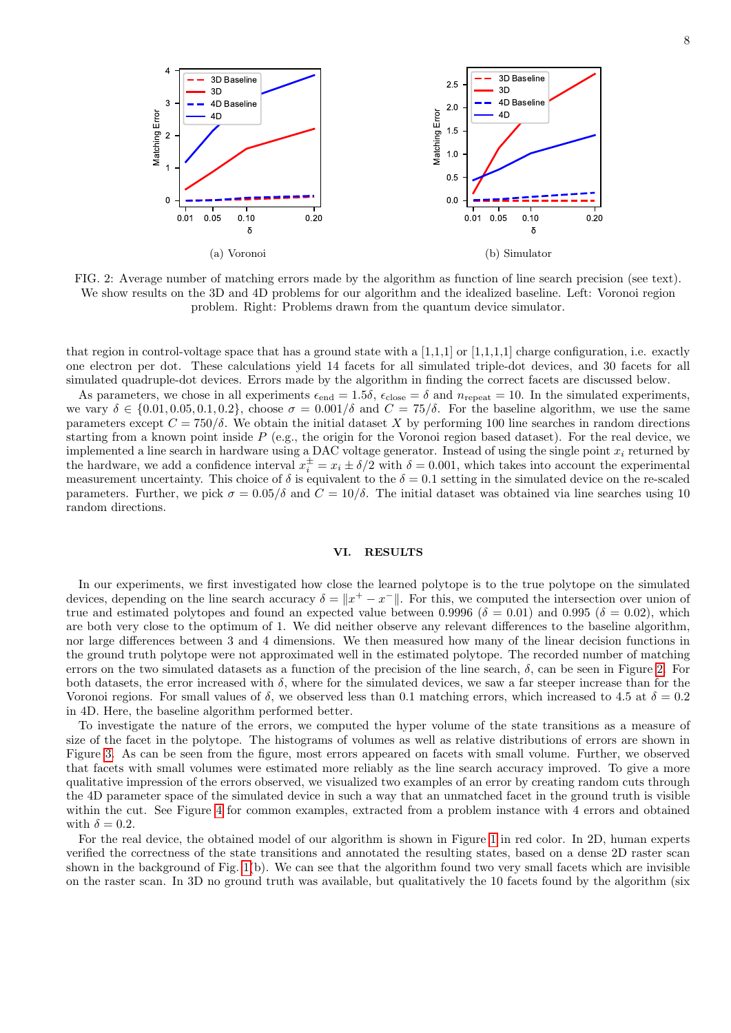<span id="page-7-1"></span>

FIG. 2: Average number of matching errors made by the algorithm as function of line search precision (see text). We show results on the 3D and 4D problems for our algorithm and the idealized baseline. Left: Voronoi region problem. Right: Problems drawn from the quantum device simulator.

that region in control-voltage space that has a ground state with a  $[1,1,1]$  or  $[1,1,1,1]$  charge configuration, i.e. exactly one electron per dot. These calculations yield 14 facets for all simulated triple-dot devices, and 30 facets for all simulated quadruple-dot devices. Errors made by the algorithm in finding the correct facets are discussed below.

As parameters, we chose in all experiments  $\epsilon_{end} = 1.5\delta$ ,  $\epsilon_{close} = \delta$  and  $n_{repeat} = 10$ . In the simulated experiments, we vary  $\delta \in \{0.01, 0.05, 0.1, 0.2\}$ , choose  $\sigma = 0.001/\delta$  and  $C = 75/\delta$ . For the baseline algorithm, we use the same parameters except  $C = 750/\delta$ . We obtain the initial dataset X by performing 100 line searches in random directions starting from a known point inside  $P$  (e.g., the origin for the Voronoi region based dataset). For the real device, we implemented a line search in hardware using a DAC voltage generator. Instead of using the single point  $x_i$  returned by the hardware, we add a confidence interval  $x_i^{\pm} = x_i \pm \delta/2$  with  $\delta = 0.001$ , which takes into account the experimental measurement uncertainty. This choice of  $\delta$  is equivalent to the  $\delta = 0.1$  setting in the simulated device on the re-scaled parameters. Further, we pick  $\sigma = 0.05/\delta$  and  $C = 10/\delta$ . The initial dataset was obtained via line searches using 10 random directions.

### <span id="page-7-0"></span>VI. RESULTS

In our experiments, we first investigated how close the learned polytope is to the true polytope on the simulated devices, depending on the line search accuracy  $\delta = ||x^+ - x^-||$ . For this, we computed the intersection over union of true and estimated polytopes and found an expected value between 0.9996 ( $\delta = 0.01$ ) and 0.995 ( $\delta = 0.02$ ), which are both very close to the optimum of 1. We did neither observe any relevant differences to the baseline algorithm, nor large differences between 3 and 4 dimensions. We then measured how many of the linear decision functions in the ground truth polytope were not approximated well in the estimated polytope. The recorded number of matching errors on the two simulated datasets as a function of the precision of the line search,  $\delta$ , can be seen in Figure [2.](#page-7-1) For both datasets, the error increased with  $\delta$ , where for the simulated devices, we saw a far steeper increase than for the Voronoi regions. For small values of  $\delta$ , we observed less than 0.1 matching errors, which increased to 4.5 at  $\delta = 0.2$ in 4D. Here, the baseline algorithm performed better.

To investigate the nature of the errors, we computed the hyper volume of the state transitions as a measure of size of the facet in the polytope. The histograms of volumes as well as relative distributions of errors are shown in Figure [3.](#page-8-0) As can be seen from the figure, most errors appeared on facets with small volume. Further, we observed that facets with small volumes were estimated more reliably as the line search accuracy improved. To give a more qualitative impression of the errors observed, we visualized two examples of an error by creating random cuts through the 4D parameter space of the simulated device in such a way that an unmatched facet in the ground truth is visible within the cut. See Figure [4](#page-8-1) for common examples, extracted from a problem instance with 4 errors and obtained with  $\delta = 0.2$ .

For the real device, the obtained model of our algorithm is shown in Figure [1](#page-1-0) in red color. In 2D, human experts verified the correctness of the state transitions and annotated the resulting states, based on a dense 2D raster scan shown in the background of Fig. [1\(](#page-1-0)b). We can see that the algorithm found two very small facets which are invisible on the raster scan. In 3D no ground truth was available, but qualitatively the 10 facets found by the algorithm (six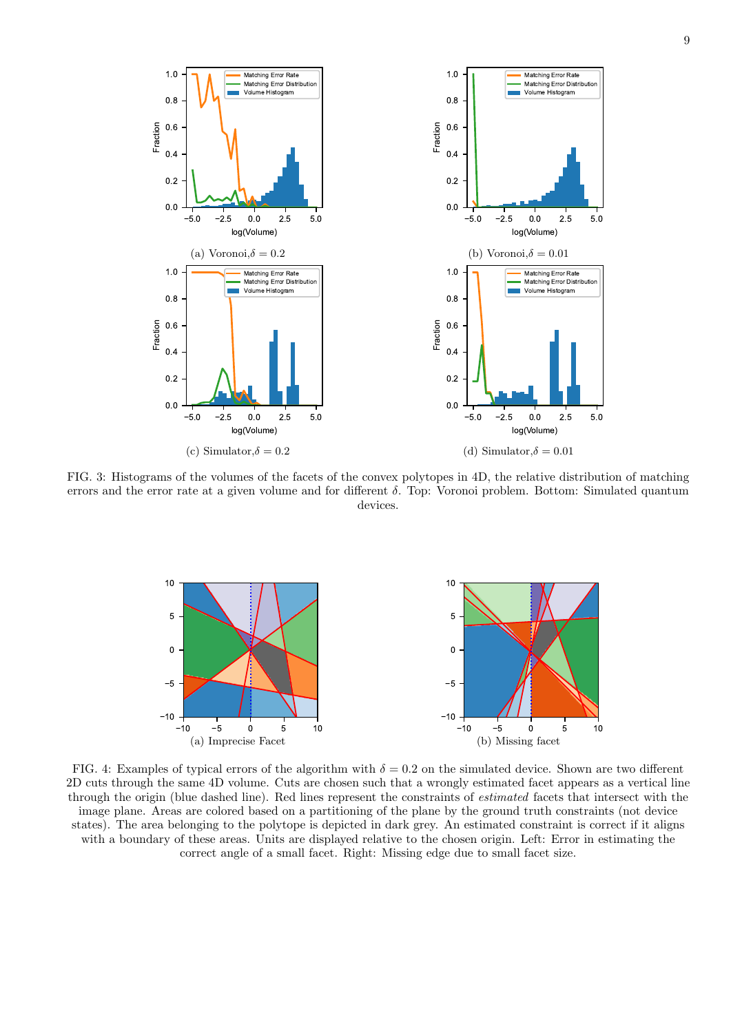<span id="page-8-0"></span>

FIG. 3: Histograms of the volumes of the facets of the convex polytopes in 4D, the relative distribution of matching errors and the error rate at a given volume and for different δ. Top: Voronoi problem. Bottom: Simulated quantum devices.

<span id="page-8-1"></span>

FIG. 4: Examples of typical errors of the algorithm with  $\delta = 0.2$  on the simulated device. Shown are two different 2D cuts through the same 4D volume. Cuts are chosen such that a wrongly estimated facet appears as a vertical line through the origin (blue dashed line). Red lines represent the constraints of estimated facets that intersect with the image plane. Areas are colored based on a partitioning of the plane by the ground truth constraints (not device states). The area belonging to the polytope is depicted in dark grey. An estimated constraint is correct if it aligns with a boundary of these areas. Units are displayed relative to the chosen origin. Left: Error in estimating the correct angle of a small facet. Right: Missing edge due to small facet size.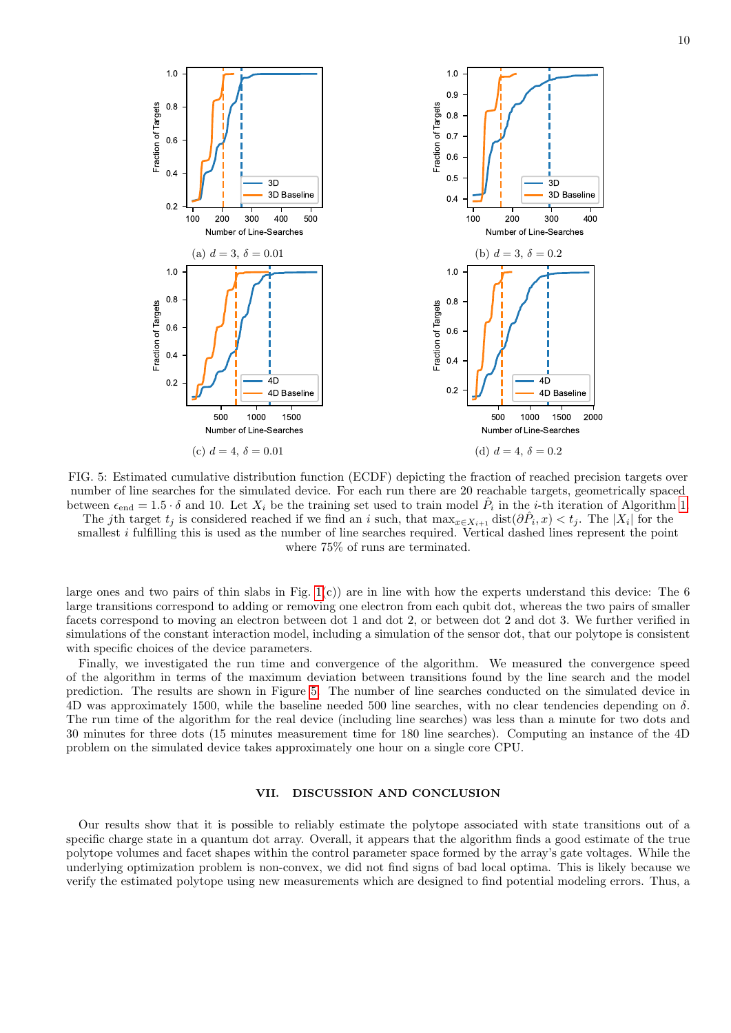<span id="page-9-1"></span>

FIG. 5: Estimated cumulative distribution function (ECDF) depicting the fraction of reached precision targets over number of line searches for the simulated device. For each run there are 20 reachable targets, geometrically spaced between  $\epsilon_{\text{end}} = 1.5 \cdot \delta$  $\epsilon_{\text{end}} = 1.5 \cdot \delta$  $\epsilon_{\text{end}} = 1.5 \cdot \delta$  and 10. Let  $X_i$  be the training set used to train model  $\hat{P}_i$  in the *i*-th iteration of Algorithm 1. The jth target  $t_j$  is considered reached if we find an i such, that  $\max_{x \in X_{i+1}} \text{dist}(\partial \hat{P}_i, x) < t_j$ . The  $|X_i|$  for the smallest *i* fulfilling this is used as the number of line searches required. Vertical dashed lines represent the point

where 75% of runs are terminated.

large ones and two pairs of thin slabs in Fig.  $1(c)$  are in line with how the experts understand this device: The 6 large transitions correspond to adding or removing one electron from each qubit dot, whereas the two pairs of smaller facets correspond to moving an electron between dot 1 and dot 2, or between dot 2 and dot 3. We further verified in simulations of the constant interaction model, including a simulation of the sensor dot, that our polytope is consistent with specific choices of the device parameters.

Finally, we investigated the run time and convergence of the algorithm. We measured the convergence speed of the algorithm in terms of the maximum deviation between transitions found by the line search and the model prediction. The results are shown in Figure [5.](#page-9-1) The number of line searches conducted on the simulated device in 4D was approximately 1500, while the baseline needed 500 line searches, with no clear tendencies depending on  $\delta$ . The run time of the algorithm for the real device (including line searches) was less than a minute for two dots and 30 minutes for three dots (15 minutes measurement time for 180 line searches). Computing an instance of the 4D problem on the simulated device takes approximately one hour on a single core CPU.

### <span id="page-9-0"></span>VII. DISCUSSION AND CONCLUSION

Our results show that it is possible to reliably estimate the polytope associated with state transitions out of a specific charge state in a quantum dot array. Overall, it appears that the algorithm finds a good estimate of the true polytope volumes and facet shapes within the control parameter space formed by the array's gate voltages. While the underlying optimization problem is non-convex, we did not find signs of bad local optima. This is likely because we verify the estimated polytope using new measurements which are designed to find potential modeling errors. Thus, a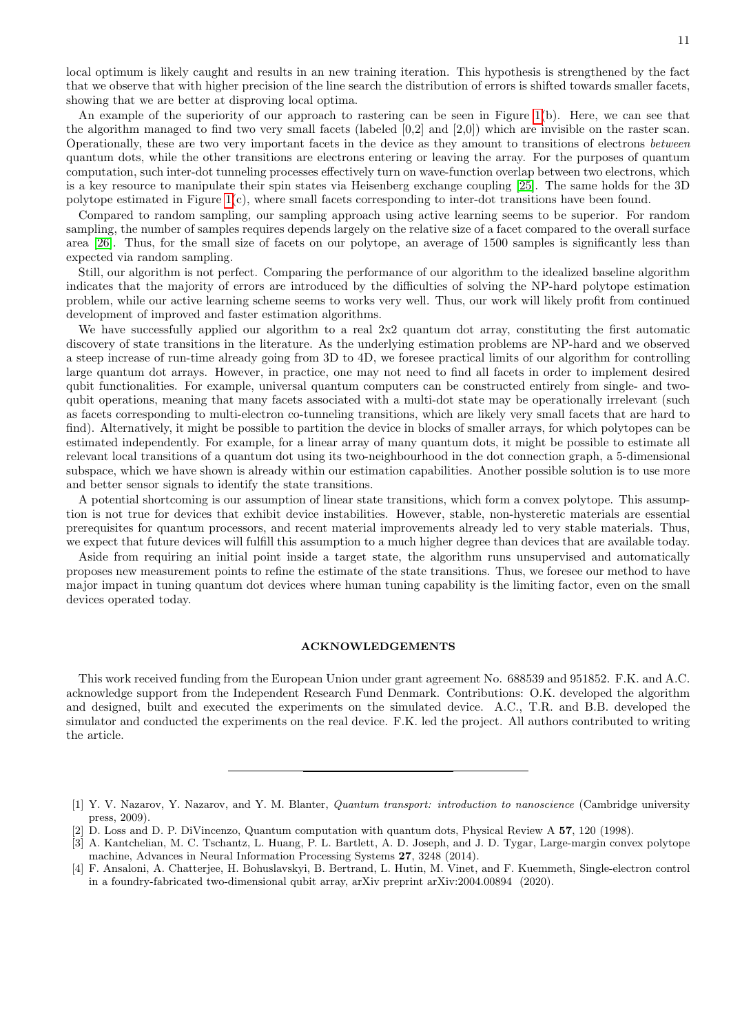local optimum is likely caught and results in an new training iteration. This hypothesis is strengthened by the fact that we observe that with higher precision of the line search the distribution of errors is shifted towards smaller facets, showing that we are better at disproving local optima.

An example of the superiority of our approach to rastering can be seen in Figure  $1(b)$ . Here, we can see that the algorithm managed to find two very small facets (labeled [0,2] and [2,0]) which are invisible on the raster scan. Operationally, these are two very important facets in the device as they amount to transitions of electrons between quantum dots, while the other transitions are electrons entering or leaving the array. For the purposes of quantum computation, such inter-dot tunneling processes effectively turn on wave-function overlap between two electrons, which is a key resource to manipulate their spin states via Heisenberg exchange coupling [\[25\]](#page-11-19). The same holds for the 3D polytope estimated in Figure [1\(](#page-1-0)c), where small facets corresponding to inter-dot transitions have been found.

Compared to random sampling, our sampling approach using active learning seems to be superior. For random sampling, the number of samples requires depends largely on the relative size of a facet compared to the overall surface area [\[26\]](#page-11-20). Thus, for the small size of facets on our polytope, an average of 1500 samples is significantly less than expected via random sampling.

Still, our algorithm is not perfect. Comparing the performance of our algorithm to the idealized baseline algorithm indicates that the majority of errors are introduced by the difficulties of solving the NP-hard polytope estimation problem, while our active learning scheme seems to works very well. Thus, our work will likely profit from continued development of improved and faster estimation algorithms.

We have successfully applied our algorithm to a real  $2x2$  quantum dot array, constituting the first automatic discovery of state transitions in the literature. As the underlying estimation problems are NP-hard and we observed a steep increase of run-time already going from 3D to 4D, we foresee practical limits of our algorithm for controlling large quantum dot arrays. However, in practice, one may not need to find all facets in order to implement desired qubit functionalities. For example, universal quantum computers can be constructed entirely from single- and twoqubit operations, meaning that many facets associated with a multi-dot state may be operationally irrelevant (such as facets corresponding to multi-electron co-tunneling transitions, which are likely very small facets that are hard to find). Alternatively, it might be possible to partition the device in blocks of smaller arrays, for which polytopes can be estimated independently. For example, for a linear array of many quantum dots, it might be possible to estimate all relevant local transitions of a quantum dot using its two-neighbourhood in the dot connection graph, a 5-dimensional subspace, which we have shown is already within our estimation capabilities. Another possible solution is to use more and better sensor signals to identify the state transitions.

A potential shortcoming is our assumption of linear state transitions, which form a convex polytope. This assumption is not true for devices that exhibit device instabilities. However, stable, non-hysteretic materials are essential prerequisites for quantum processors, and recent material improvements already led to very stable materials. Thus, we expect that future devices will fulfill this assumption to a much higher degree than devices that are available today.

Aside from requiring an initial point inside a target state, the algorithm runs unsupervised and automatically proposes new measurement points to refine the estimate of the state transitions. Thus, we foresee our method to have major impact in tuning quantum dot devices where human tuning capability is the limiting factor, even on the small devices operated today.

### ACKNOWLEDGEMENTS

This work received funding from the European Union under grant agreement No. 688539 and 951852. F.K. and A.C. acknowledge support from the Independent Research Fund Denmark. Contributions: O.K. developed the algorithm and designed, built and executed the experiments on the simulated device. A.C., T.R. and B.B. developed the simulator and conducted the experiments on the real device. F.K. led the project. All authors contributed to writing the article.

<span id="page-10-0"></span><sup>[1]</sup> Y. V. Nazarov, Y. Nazarov, and Y. M. Blanter, Quantum transport: introduction to nanoscience (Cambridge university press, 2009).

<span id="page-10-1"></span><sup>[2]</sup> D. Loss and D. P. DiVincenzo, Quantum computation with quantum dots, Physical Review A 57, 120 (1998).

<span id="page-10-2"></span><sup>[3]</sup> A. Kantchelian, M. C. Tschantz, L. Huang, P. L. Bartlett, A. D. Joseph, and J. D. Tygar, Large-margin convex polytope machine, Advances in Neural Information Processing Systems 27, 3248 (2014).

<span id="page-10-3"></span><sup>[4]</sup> F. Ansaloni, A. Chatterjee, H. Bohuslavskyi, B. Bertrand, L. Hutin, M. Vinet, and F. Kuemmeth, Single-electron control in a foundry-fabricated two-dimensional qubit array, arXiv preprint arXiv:2004.00894 (2020).